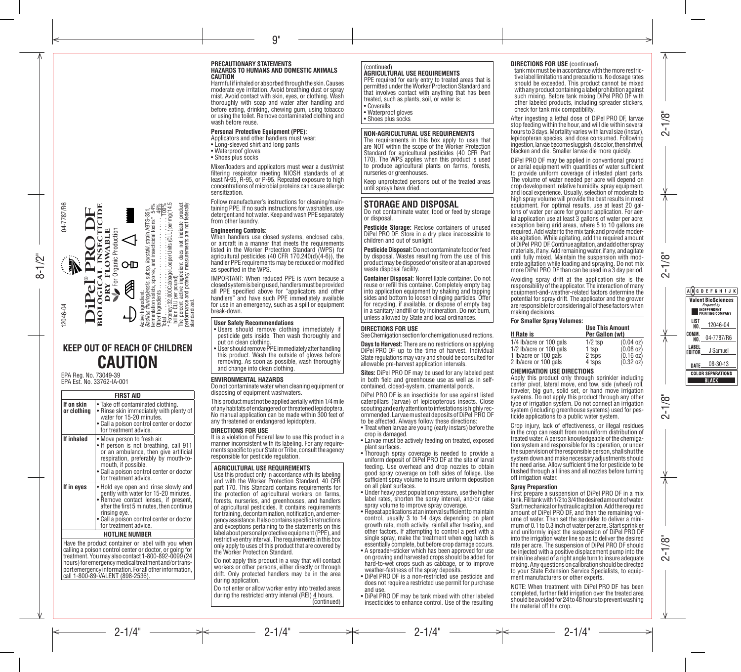#### **PRECAUTIONARY STATEMENTS HAZARDS TO HUMANS AND DOMESTIC ANIMALS CAUTION**

Harmful if inhaled or absorbed through the skin. Causes moderate eye irritation. Avoid breathing dust or spray mist. Avoid contact with skin, eyes, or clothing. Wash thoroughly with soap and water after handling and before eating, drinking, chewing gum, using tobacco or using the toilet. Remove contaminated clothing and wash before reuse.

#### **Personal Protective Equipment (PPE):**

- Applicators and other handlers must wear:
- Long-sleeved shirt and long pants
- Waterproof gloves
- Shoes plus socks

Mixer/loaders and applicators must wear a dust/mist filtering respirator meeting NIOSH standards of at least N-95, R-95, or P-95. Repeated exposure to high concentrations of microbial proteins can cause allergic sensitization.

Follow manufacturer's instructions for cleaning/main-<br>taining PPE. If no such instructions for washables, use<br>detergent and hot water. Keep and wash PPE separately from other laundry.

#### **Engineering Controls:**

When handlers use closed systems, enclosed cabs, or aircraft in a manner that meets the requirements listed in the Worker Protection Standard (WPS) for agricultural pesticides (40 CFR  $170.240(d)(4-6)$ ), the handler PPE requirements may be reduced or modified as specified in the WPS.

IMPORTANT: When reduced PPE is worn because a closed system is being used, handlers must be provided all PPE specified above for "applicators and other handlers" and have such PPE immediately available for use in an emergency, such as a spill or equipment break-down.

#### **User Safety Recommendations**

- Users should remove clothing immediately if pesticide gets inside. Then wash thoroughly and put on clean clothing.
- User should remove PPE immediately after handling this product. Wash the outside of gloves before removing. As soon as possible, wash thoroughly and change into clean clothing.

#### **ENVIRONMENTAL HAZARDS**

**KEEP OUT OF REACH OF CHILDREN CAUTION**

For Organic Production

 $\operatorname{\lhd}$ 

OD

0

**PLOGICAL ANSECTIONS CONTRACTE**<br>DRY FLOWABLE<br>Verogane Production

**FIRST AID**

for treatment advice **If inhaled** • Move person to fresh air.<br>• If person is not breathing, call 911

mouth, if possible.

rinsing eye.

call 1-800-89-VALENT (898-2536).

for treatment advice. **If in eyes** • Hold eye open and rinse slowly and

for treatment advice. **HOTLINE NUMBER** Have the product container or label with you when calling a poison control center or doctor, or going for treatment.Youmay also contact 1-800-892-0099 (24 portemergency information. For all other information,

Take off contaminated clothing. • Rinse skin immediately with plenty of water for 15-20 minutes. • Call a poison control center or doctor

Active Ingredient:

*Bacillus thuringiensis,* subsp. *kurstaki,* strain ABTS-351, fermentation solids, spores, and insecticidal toxins\* 54% Other Ingredients . 46% Total . 100% \* Potency:32,000CabbageLooperUnits(CLU)permg(14.5

billion CLU per pound)

standardized.

The percent active ingredient does not indicate product performance and potency measurements are not federally

Active Ingredient:<br>Bacillus thuringlensis, susp. Auristatic stain ABTS-351.<br>Other Ingredients ... spores, and insecticidal boths" 54%<br>Other Ingredients ... spores, and insecticidal boths" 54%<br>"Total ... ... ... ... ... ...

or an ambulance, then give artificial respiration, preferably by mouth-to-

Call a poison control center or doctor

gently with water for 15-20 minutes. **Remove contact lenses, if present** after the first 5 minutes, then continue

Call a poison control center or doctor

EPA Reg. No. 73049-39 EPA Est. No. 33762-IA-001

**DiPel PRO DF ®** BIOLOGICAL INSECTICIDE DRY FLOWABLE

iPel

 $\mathbb{N}$ 

PPRS

CTICIDE

**If on skin or clothing**

04-7787/R6

04-7787/R6

12046-04

Do not contaminate water when cleaning equipment or disposing of equipment washwaters.

This product must not be applied aerially within 1/4 mile ofanyhabitatsofendangeredorthreatenedlepidoptera. No manual application can be made within 300 feet of any threatened or endangered lepidoptera.

**DIRECTIONS FOR USE** manner inconsistent with its labeling. For any require-<br>ments specific to your State or Tribe, consult the agency responsible for pesticide regulation.

#### **AGRICULTURAL USE REQUIREMENTS**

Use this product only in accordance with its labeling and with the Worker Protection Standard, 40 CFR part 170. This Standard contains requirements for the protection of agricultural workers on farms, forests, nurseries, and greenhouses, and handlers of agricultural pesticides. It contains requirements for training, decontamination, notification, and emergency assistance. It also contains specific instructions and exceptions pertaining to the statements on this label about personal protective equipment (PPE), and restrictive entry interval. The requirements in this box only apply to uses of this product that are covered by the Worker Protection Standard.

Do not apply this product in a way that will contact workers or other persons, either directly or through drift. Only protected handlers may be in the area during application.

Do not enter or allow worker entry into treated areas during the restricted entry interval (REI) 4 hours. (continued)

#### (continued) **AGRICULTURAL USE REQUIREMENTS**

PPE required for early entry to treated areas that is permitted underthe Worker Protection Standard and that involves contact with anything that has been treated, such as plants, soil, or water is: • Coveralls

• Waterproof gloves

• Shoes plus socks

## **NON-AGRICULTURAL USE REQUIREMENTS**

The requirements in this box apply to uses that are NOT within the scope of the Worker Protection Standard for agricultural pesticides (40 CFR Part 170). The WPS applies when this product is used to produce agricultural plants on farms, forests, nurseries or greenhouses.

Keep unprotected persons out of the treated areas until sprays have dried.

## **STORAGE AND DISPOSAL**

Do not contaminate water, food or feed by storage or disposal.

**Pesticide Storage:** Reclose containers of unused DiPel PRO DF. Store in a dry place inaccessible to children and out of sunlight.

**Pesticide Disposal:** Do not contaminate food or feed by disposal. Wastes resulting from the use of this productmay be disposed of on site or at an approved waste disposal facility.

**Container Disposal:** Nonrefillable container. Do not reuse or refill this container. Completely empty bag into application equipment by shaking and tapping sides and bottom to loosen clinging particles. Offer for recycling, if available, or dispose of empty bag in a sanitary landfill or by incineration. Do not burn, unless allowed by State and local ordinances.

#### **DIRECTIONS FOR USE**

See Chemigation section for chemigation use directions.

**Days to Harvest:** There are no restrictions on applying DiPel PRO DF up to the time of harvest. Individual State regulations may vary and should be consulted for allowable pre-harvest application intervals.

**Sites:** DiPel PRO DF may be used for any labeled pest in both field and greenhouse use as well as in selfcontained, closed-system, ornamental ponds.

DiPel PRO DF is an insecticide for use against listed caterpillars (larvae) of lepidopterous insects. Close ommended. Larvae must eat deposits of DiPel PRO DF to be affected. Always follow these directions:

- • Treat when larvae are young (early instars) before the crop is damaged.
- • Larvae must be actively feeding on treated, exposed plant surfaces.
- • Thorough spray coverage is needed to provide a uniform deposit of DiPel PRO DF at the site of larval feeding. Use overhead and drop nozzles to obtain good spray coverage on both sides of foliage. Use sufficient spray volume to insure uniform deposition on all plant surfaces.
- Under heavy pest population pressure, use the higher label rates, shorten the spray interval, and/or raise spray volume to improve spray coverage.
- Repeat applications at an interval sufficient to maintain control, usually 3 to 14 days depending on plant growth rate, moth activity, rainfall after treating, and other factors. If attempting to control a pest with a single spray, make the treatment when egg hatch is essentially complete, but before crop damage occurs.
- A spreader-sticker which has been approved for use on growing and harvested crops should be added for hard-to-wet crops such as cabbage, or to improve weather-fastness of the spray deposits.
- • DiPel PRO DF is a non-restricted use pesticide and does not require a restricted use permit for purchase and use.
- DiPel PRO DF may be tank mixed with other labeled insecticides to enhance control. Use of the resulting

### **DIRECTIONS FOR USE** (continued)

tank mix must be in accordance with the more restric-<br>tive label limitations and precautions. No dosage rates should be exceeded. This product cannot be mixed with any product containing a label prohibition against such mixing. Before tank mixing DiPel PRO DF with other labeled products, including spreader stickers, check for tank mix compatibility.

After ingesting a lethal dose of DiPel PRO DF, larvae stop feeding within the hour, and will die within several hours to 3 days. Mortality varies with larval size (instar), lepidopteran species, and dose consumed. Following ingestion, larvae become sluggish, discolor, then shrivel, blacken and die. Smaller larvae die more quickly.

DiPel PRO DF may be applied in conventional ground or aerial equipment with quantities of water sufficient to provide uniform coverage of infested plant parts. The volume of water needed per acre will depend on crop development, relative humidity, spray equipment, and local experience. Usually, selection of moderate to high spray volume will provide the best results in most equipment. For optimal results, use at least 20 gallons of water per acre for ground application. For aerial application use at least 3 gallons of water per acre; exception being arid areas, where 5 to 10 gallons are required. Add water to the mix tank and provide moderate agitation. While agitating, add the required amount ofDiPel PRO DF.Continueagitation,andaddotherspray materials, if any. Add remaining water, if any, and agitate until fully mixed. Maintain the suspension with moderate agitation while loading and spraying. Do not mix more DiPel PRO DF than can be used in a 3 day period.

Avoiding spray drift at the application site is the responsibility of the applicator. The interaction ofmany equipment-and-weather-related factors determine the potential for spray drift. The applicator and the grower are responsible for considering all of these factors when making decisions.

#### **For Smaller Spray Volumes:**

| . o. oao. opiay voluntoo. | <b>Use This Amount</b> |                     |
|---------------------------|------------------------|---------------------|
| If Rate is                | Per Gallon (wt)        |                     |
| 1/4 lb/acre or 100 gals   | $1/2$ tsp              | $(0.04 \text{ oz})$ |
| 1/2 lb/acre or 100 gals   | 1 tsp                  | $(0.08 \text{ oz})$ |
| 1 lb/acre or 100 gals     | 2 tsps                 | $(0.16 \text{ oz})$ |
| 2 lb/acre or 100 gals     | 4 tsps                 | $(0.32 \text{ oz})$ |

#### **CHEMIGATION USE DIRECTIONS**

Apply this product only through sprinkler including center pivot, lateral move, end tow, side (wheel) roll, traveler, big gun, solid set, or hand move irrigation systems. Do not apply this product through any other type of irrigation system. Do not connect an irrigation system (including greenhouse systems) used for pes- ticide applications to <sup>a</sup> public water system.

Crop injury, lack of effectiveness, or illegal residues in the crop can result from nonuniform distribution of tion system and responsible for its operation, or under the supervision of the responsible person, shall shut the system down and make necessary adjustments should the need arise. Allow sufficient time for pesticide to be flushed through all lines and all nozzles before turning off irrigation water.

#### **Spray Preparation**

First prepare a suspension of DiPel PRO DF in a mix tank. Filltank with 1/2 to 3/4 the desired amount of water. Start mechanical or hydraulic agitation. Add the required amount of DiPel PRO DF, and then the remaining volume of water. Then set the sprinkler to deliver a minimum of 0.1 to 0.3 inch of water per acre. Start sprinkler and uniformly inject the suspension of DiPel PRO DF into the irrigation water line so as to deliver the desired rate per acre. The suspension of DiPel PRO DF should be injected with a positive displacement pump into the main line ahead of a right angle turn to insure adequate mixing. Any questions on calibration should be directed to your State Extension Service Specialists, to equip- ment manufacturers or other experts.

NOTE: When treatment with DiPel PRO DF has been completed, further field irrigation over the treated area should be avoided for 24 to 48 hours to prevent washing the material off the crop.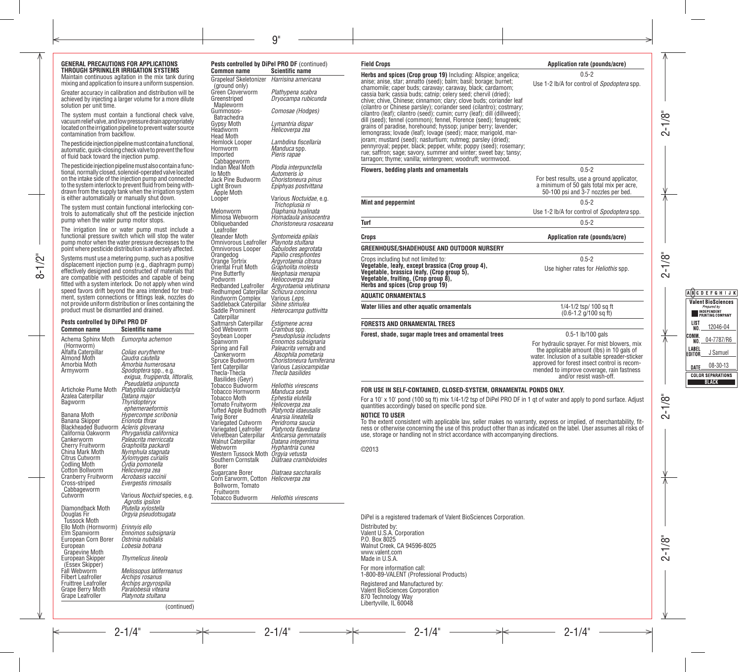#### **GENERAL PRECAUTIONS FOR APPLICATIONS THROUGH SPRINKLER IRRIGATION SYSTEMS**

Maintain continuous agitation in the mix tank during mixing and application to insure a uniform suspension.

Greater accuracy in calibration and distribution will be achieved by injecting a larger volume for a more dilute solution per unit time.

The system must contain a functional check valve, vacuum relief valve, and low pressure drain appropriately located on the irrigation pipeline to prevent water source contamination from backflow.

The pesticide injection pipeline must contain a functional. automatic, quick-closing check valve to prevent the flow of fluid back toward the injection pump.

The pesticide injection pipeline must also contain a functional, normally closed, solenoid-operated valve located on the intake side of the injection pump and connected to the system interlock to prevent fluid from being withdrawn from the supply tank when the irrigation system is either automatically or manually shut down.

The system must contain functional interlocking controls to automatically shut off the pesticide injection pump when the water pump motor stops.

The irrigation line or water pump must include a functional pressure switch which will stop the water pump motor when the water pressure decreases to the point where pesticide distribution is adversely affected.

Systems must use a metering pump, such as a positive displacement injection pump (e.g., diaphragm pump) effectively designed and constructed of materials that are compatible with pesticides and capable of being fitted with a system interlock. Do not apply when wind speed favors drift beyond the area intended for treatment, system connections or fittings leak, nozzles do not provide uniform distribution orlines containing the product must be dismantled and drained.

#### **Pests controlled by DiPel PRO DF Scientific name** Achema Sphinx Moth *Eumorpha achemon*

(Hornworm)<br>Alfalfa Caterpillar Alfalfa Caterpillar *Colias eurytheme* Almond Moth *Caudra cautella* Amorbia Moth *Amorbia humerosana* Artichoke Plume Moth *Platyptilia carduidactyla* Azalea Caterpillar *Datana major*

Banana Moth *Hypercompe scribonia* Banana Skipper *Erionota thrax* Blackheaded Budworm *Acleris gloverana* California Oakworm *Phryganidia californica* Cankerworm *Paleacrita merriccata* Cherry Fruitworm Grapholita packard<br>China Mark Moth Mymphula stagnata<br>Citrus Cutworm *Xylomyges curialis*<br>Codling Moth *Cydia pomonella*<br>Cotton Bollworm *Acrobasis vaccinii*<br>Cranberry Fruitworm *Acrobasis vaccinii* Cross-striped Cabbageworm<br>Cutworm Diamondback Moth Douglas Fir Tussock Moth Ello Moth (Hornworm) *Erinnyis ello* **European Corn Borer** European Grapevine Moth European Skipper

(Essex Skipper)

*Evergestis rimosalis* Various *Noctuid* species, e.g. *Agrotis ipsilon Orgyia pseudotsugata* Ennomos subsignaria<br>Ostrinia nubilalis *Lobesia botrana Thymelicus lineola* Fall Webworm *Melissopus latiferreanus* Filbert Leafroller *Archips rosanus* Fruittree Leafroller *Archips argyrospilia* Grape Berry Moth *Paralobesia viteana* Grape Leafroller *Platynota stultana*

Spodoptera spp., e.g.

 $Thvridoptervx$ *ephemeraeformis*

*Pseudaletia unipuncta*

**Common name Scientific name** Grapeleaf Skeletonizer (ground only) Mapleworm Gummosos-Batrachedra<br>Gypsy Moth Head Moth Cabbageworm<br>Indian Meal Moth Light Brown Apple Moth<br>Looper Obliquebanded Leafroller<br>Oleander Moth Saddle Prominent Caterpillar<br>Saltmarsh Caterpillar Cankerworm<br>Spruce Budworm<br>Tent Caterpillar Thecla-Thecla Basilides (Geyr) Tobacco Hornworm *Manduca sexta* **Tomato Fruitworm** Variegated Leafroller *Platynota flavedana* Borer<br>Sugarcane Borer Bollworm, Tomato Fruitworm<br>Tobacco Budworm *exigua, frugiperda, littoralis,* 

*Harrisina americana* Green Cloverworm *Plathypena scabra* Greenstriped *Dryocampa rubicunda Comosae (Hodges)*  Gypsy Moth *Lymantria dispar* Headworm *Helicoverpa zea* Hemlock Looper *Lambdina fiscellaria* Hornworm *Manduca* spp*.* Imported *Pieris rapae* Indian Meal Moth *Plodia interpunctella* Io Moth *Automeris io* Jack Pine Budworm *Choristoneura pinus Epiphyas postvittana* Various *Noctuidae*, e.g. *Trichoplusia ni* Melonworm *Diaphania hyalinata* Mimosa Webworm *Homadaula anisocentra Choristoneura rosaceana* Oleander Moth Syntomeida epilais<br>Omnivorous Leafroller *Playnota stultana*<br>Omnivorous Looper *Sabulodes aegrotata*<br>Orangedog *Papilio cresphontes*<br>Oriental Fruit Moth *Grapholita molesta* Pine Butterfly *Neophasia menapia* Podworm *Heliocoverpa zea* Redbanded Leafroller *Argyrotaenia velutinana* Redhumped Caterpillar *Schizura conc*<br>Rindworm Complex Various Leps. Rindworm Complex Various *Leps.* Saddleback Caterpillar *Sibine stimulea Heterocampa guttivitta* Saltmarsh Caterpillar *Estigmene acrea*<br>
Sod Webworm *Crambus* spp.<br>
Soybean Looper *Pseudoplusia includens*<br>
Spanworm *Ennomos subsignaria*<br>
Spring and Fall *Paleacrita vernata and*<br>
Cankerworm *Alsophila pometaria Paleacrita vernata* and *Alsophila pometaria* Spruce Budworm *Choristoneura fumiferana* Tent Caterpillar Various *Lasiocampidae Thecla basilides* Tobacco Budworm *Heliothis virescens* Ephestia elutella<br>Helicoverpa zea Tufted Apple Budmoth *Platynota idaeusalis* Anarsia lineatella<br>Peridroma saucia Variegated Cutworm *Peridroma saucia* Velvetbean Caterpillar *Anticarsia gemmatalis* Walnut Caterpillar *Datana integerrima* Webworm *Hyphantria cunea* Western Tussock Moth *Orgyia vetusta* Southern Cornstalk *Diatraea crambidoides* Sugarcane Borer *Diatraea saccharalis* Corn Earworm, Cotton *Helicoverpa zea* Heliothis virescens

**Pests controlled by DiPel PRO DF** (continued)

**Field Crops Application rate (pounds/acre) Herbs and spices (Crop group 19)** Including: Allspice; angelica; anise; anise, star; annatto (seed); balm; basil; borage; burnet; chamomile; caper buds; caraway; caraway, black; cardamom; cassia bark; cassia buds; catnip; celery seed; chervil (dried); chive; chive, Chinese; cinnamon; clary; clove buds; coriander leaf (cilantro or Chinese parsley); coriander seed (cilantro); costmary; cilantro (leaf); cilantro (seed); cumin; curry (leaf); dill (dillweed); dill (seed); fennel (common); fennel, Florence (seed); fenugreek; grains of paradise, horehound; hyssop; juniper berry; lavender; lemongrass; lovade (leaf); lovage (seed); mace; marigold, marjoram; mustard (seed); nasturtium; nutmeg; parsley (dried); pennyroyal; pepper, black; pepper, white; poppy (seed); rosemary; rue; saffron; sage; savory, summer and winter; sweet bay; tansy; tarragon; thyme; vanilla; wintergreen; woodruff; wormwood. 0.5-2 Use 1-2 lb/A for control of *Spodoptera* spp. **Flowers, bedding plants and ornamentals** 0.5-2 For best results, use a ground applicator, a minimum of 50 gals total mix per acre, 50-100 psi and 3-7 nozzles per bed. **Mint and peppermint** 0.5-2 Use 1-2 lb/A for control of *Spodoptera* spp. **Turf** 0.5-2 **Crops Application rate (pounds/acre) GREENHOUSE/SHADEHOUSE AND OUTDOOR NURSERY** Crops including but not limited to: **Vegetable, leafy, except brassica (Crop group 4), Vegetable, brassica leafy, (Crop group 5), Vegetable, fruiting, (Crop group 8), Herbs and spices (Crop group 19)** 0.5-2 Use higher rates for *Heliothis* spp. **AQUATIC ORNAMENTALS Water lilies and other aquatic ornamentals** 1/4-1/2 tsp/ 100 sq ft (0.6-1.2 g/100 sq ft) **FORESTS AND ORNAMENTAL TREES Forest, shade, sugar maple trees and ornamental trees** 0.5-1 lb/100 gals For hydraulic sprayer. For mist blowers, mix the applicable amount (lbs) in 10 gals of water. Inclusion of a suitable spreader-sticker

#### **FOR USE IN SELF-CONTAINED, CLOSED-SYSTEM, ORNAMENTAL PONDS ONLY.**

For a 10' x 10' pond (100 sq ft) mix 1/4-1/2 tsp of DiPel PRO DF in 1 qt of water and apply to pond surface. Adjust quantities accordingly based on specific pond size.

approved for forest insect control is recommended to improve coverage, rain fastness and/or resist wash-off.

**NOTICE TO USER**<br>To the extent consistent with applicable law, seller makes no warranty, express or implied, of merchantability, fitness or otherwise concerning the use of this product other than as indicated on the label. User assumes all risks of use, storage or handling not in strict accordance with accompanying directions.

©2013

DiPel is a registered trademark of Valent BioSciences Corporation.

Distributed by: Valent U.S.A. Corporation P.O. Box 8025 Walnut Creek, CA 94596-8025 www.valent.com Made in U.S.A.

For more information call: 1-800-89-VALENT (Professional Products)

Registered and Manufactured by: Valent BioSciences Corporation 870 Technology Way Libertyville, IL 60048